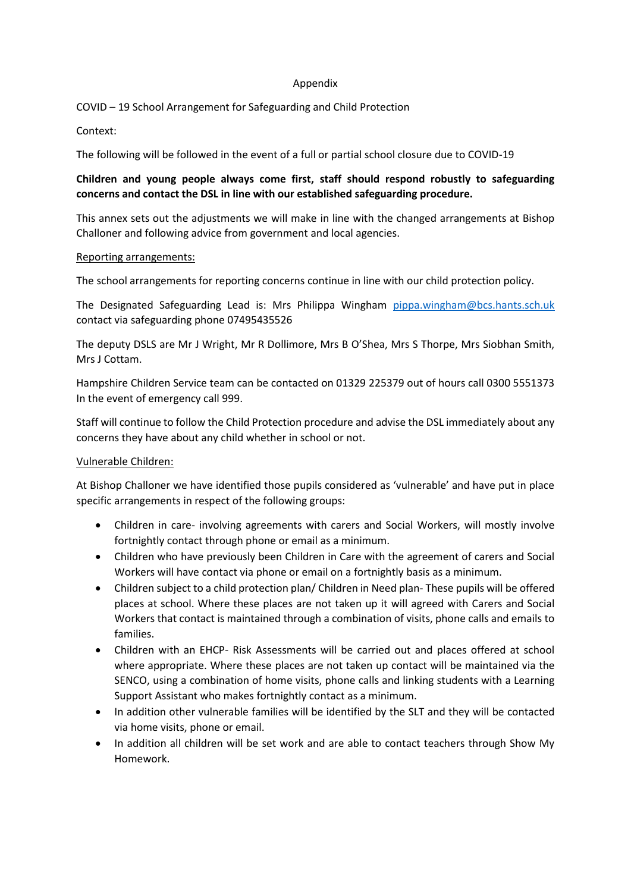#### Appendix

COVID – 19 School Arrangement for Safeguarding and Child Protection

Context:

The following will be followed in the event of a full or partial school closure due to COVID-19

# **Children and young people always come first, staff should respond robustly to safeguarding concerns and contact the DSL in line with our established safeguarding procedure.**

This annex sets out the adjustments we will make in line with the changed arrangements at Bishop Challoner and following advice from government and local agencies.

### Reporting arrangements:

The school arrangements for reporting concerns continue in line with our child protection policy.

The Designated Safeguarding Lead is: Mrs Philippa Wingham [pippa.wingham@bcs.hants.sch.uk](mailto:pippa.wingham@bcs.hants.sch.uk) contact via safeguarding phone 07495435526

The deputy DSLS are Mr J Wright, Mr R Dollimore, Mrs B O'Shea, Mrs S Thorpe, Mrs Siobhan Smith, Mrs J Cottam.

Hampshire Children Service team can be contacted on 01329 225379 out of hours call 0300 5551373 In the event of emergency call 999.

Staff will continue to follow the Child Protection procedure and advise the DSL immediately about any concerns they have about any child whether in school or not.

# Vulnerable Children:

At Bishop Challoner we have identified those pupils considered as 'vulnerable' and have put in place specific arrangements in respect of the following groups:

- Children in care- involving agreements with carers and Social Workers, will mostly involve fortnightly contact through phone or email as a minimum.
- Children who have previously been Children in Care with the agreement of carers and Social Workers will have contact via phone or email on a fortnightly basis as a minimum.
- Children subject to a child protection plan/ Children in Need plan- These pupils will be offered places at school. Where these places are not taken up it will agreed with Carers and Social Workers that contact is maintained through a combination of visits, phone calls and emails to families.
- Children with an EHCP- Risk Assessments will be carried out and places offered at school where appropriate. Where these places are not taken up contact will be maintained via the SENCO, using a combination of home visits, phone calls and linking students with a Learning Support Assistant who makes fortnightly contact as a minimum.
- In addition other vulnerable families will be identified by the SLT and they will be contacted via home visits, phone or email.
- In addition all children will be set work and are able to contact teachers through Show My Homework.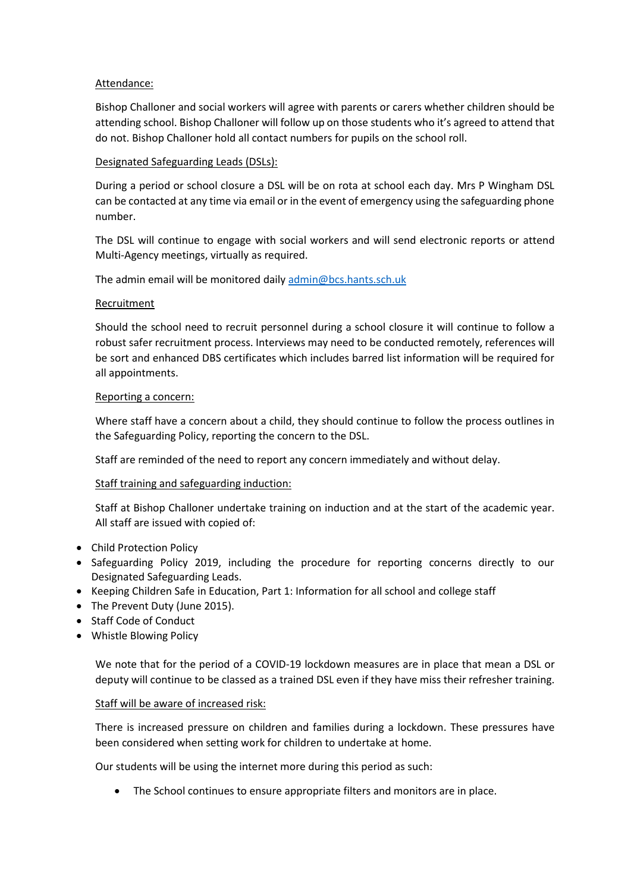### Attendance:

Bishop Challoner and social workers will agree with parents or carers whether children should be attending school. Bishop Challoner will follow up on those students who it's agreed to attend that do not. Bishop Challoner hold all contact numbers for pupils on the school roll.

### Designated Safeguarding Leads (DSLs):

During a period or school closure a DSL will be on rota at school each day. Mrs P Wingham DSL can be contacted at any time via email or in the event of emergency using the safeguarding phone number.

The DSL will continue to engage with social workers and will send electronic reports or attend Multi-Agency meetings, virtually as required.

The admin email will be monitored daily [admin@bcs.hants.sch.uk](mailto:admin@bcs.hants.sch.uk)

### Recruitment

Should the school need to recruit personnel during a school closure it will continue to follow a robust safer recruitment process. Interviews may need to be conducted remotely, references will be sort and enhanced DBS certificates which includes barred list information will be required for all appointments.

### Reporting a concern:

Where staff have a concern about a child, they should continue to follow the process outlines in the Safeguarding Policy, reporting the concern to the DSL.

Staff are reminded of the need to report any concern immediately and without delay.

# Staff training and safeguarding induction:

Staff at Bishop Challoner undertake training on induction and at the start of the academic year. All staff are issued with copied of:

- Child Protection Policy
- Safeguarding Policy 2019, including the procedure for reporting concerns directly to our Designated Safeguarding Leads.
- Keeping Children Safe in Education, Part 1: Information for all school and college staff
- The Prevent Duty (June 2015).
- Staff Code of Conduct
- Whistle Blowing Policy

We note that for the period of a COVID-19 lockdown measures are in place that mean a DSL or deputy will continue to be classed as a trained DSL even if they have miss their refresher training.

### Staff will be aware of increased risk:

There is increased pressure on children and families during a lockdown. These pressures have been considered when setting work for children to undertake at home.

Our students will be using the internet more during this period as such:

The School continues to ensure appropriate filters and monitors are in place.